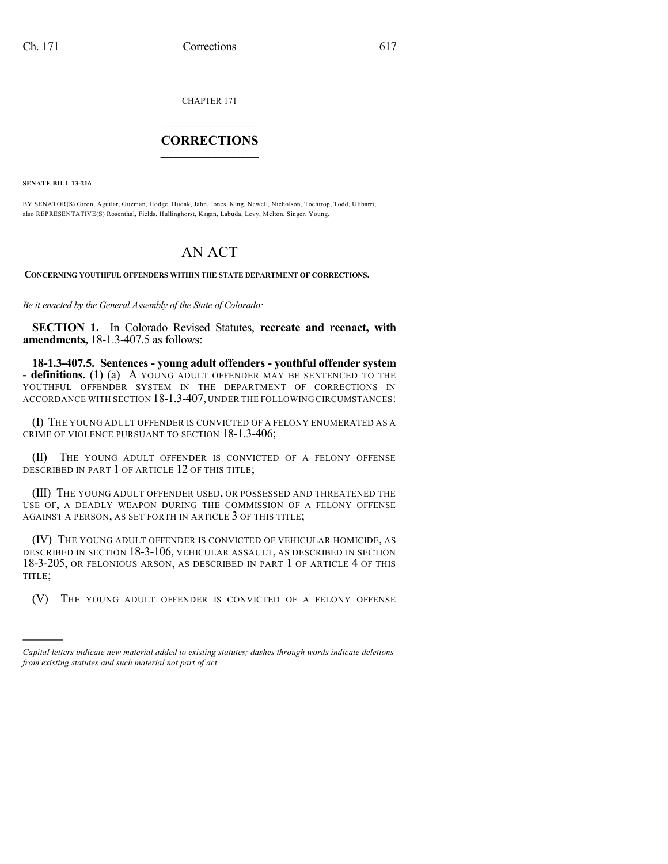CHAPTER 171

## $\mathcal{L}_\text{max}$  . The set of the set of the set of the set of the set of the set of the set of the set of the set of the set of the set of the set of the set of the set of the set of the set of the set of the set of the set **CORRECTIONS**  $\frac{1}{2}$  ,  $\frac{1}{2}$  ,  $\frac{1}{2}$  ,  $\frac{1}{2}$  ,  $\frac{1}{2}$  ,  $\frac{1}{2}$

**SENATE BILL 13-216**

)))))

BY SENATOR(S) Giron, Aguilar, Guzman, Hodge, Hudak, Jahn, Jones, King, Newell, Nicholson, Tochtrop, Todd, Ulibarri; also REPRESENTATIVE(S) Rosenthal, Fields, Hullinghorst, Kagan, Labuda, Levy, Melton, Singer, Young.

## AN ACT

**CONCERNING YOUTHFUL OFFENDERS WITHIN THE STATE DEPARTMENT OF CORRECTIONS.**

*Be it enacted by the General Assembly of the State of Colorado:*

**SECTION 1.** In Colorado Revised Statutes, **recreate and reenact, with amendments,** 18-1.3-407.5 as follows:

**18-1.3-407.5. Sentences - young adult offenders - youthful offender system - definitions.** (1) (a) A YOUNG ADULT OFFENDER MAY BE SENTENCED TO THE YOUTHFUL OFFENDER SYSTEM IN THE DEPARTMENT OF CORRECTIONS IN ACCORDANCE WITH SECTION 18-1.3-407, UNDER THE FOLLOWING CIRCUMSTANCES:

(I) THE YOUNG ADULT OFFENDER IS CONVICTED OF A FELONY ENUMERATED AS A CRIME OF VIOLENCE PURSUANT TO SECTION 18-1.3-406;

(II) THE YOUNG ADULT OFFENDER IS CONVICTED OF A FELONY OFFENSE DESCRIBED IN PART 1 OF ARTICLE 12 OF THIS TITLE;

(III) THE YOUNG ADULT OFFENDER USED, OR POSSESSED AND THREATENED THE USE OF, A DEADLY WEAPON DURING THE COMMISSION OF A FELONY OFFENSE AGAINST A PERSON, AS SET FORTH IN ARTICLE 3 OF THIS TITLE;

(IV) THE YOUNG ADULT OFFENDER IS CONVICTED OF VEHICULAR HOMICIDE, AS DESCRIBED IN SECTION 18-3-106, VEHICULAR ASSAULT, AS DESCRIBED IN SECTION 18-3-205, OR FELONIOUS ARSON, AS DESCRIBED IN PART 1 OF ARTICLE 4 OF THIS TITLE;

(V) THE YOUNG ADULT OFFENDER IS CONVICTED OF A FELONY OFFENSE

*Capital letters indicate new material added to existing statutes; dashes through words indicate deletions from existing statutes and such material not part of act.*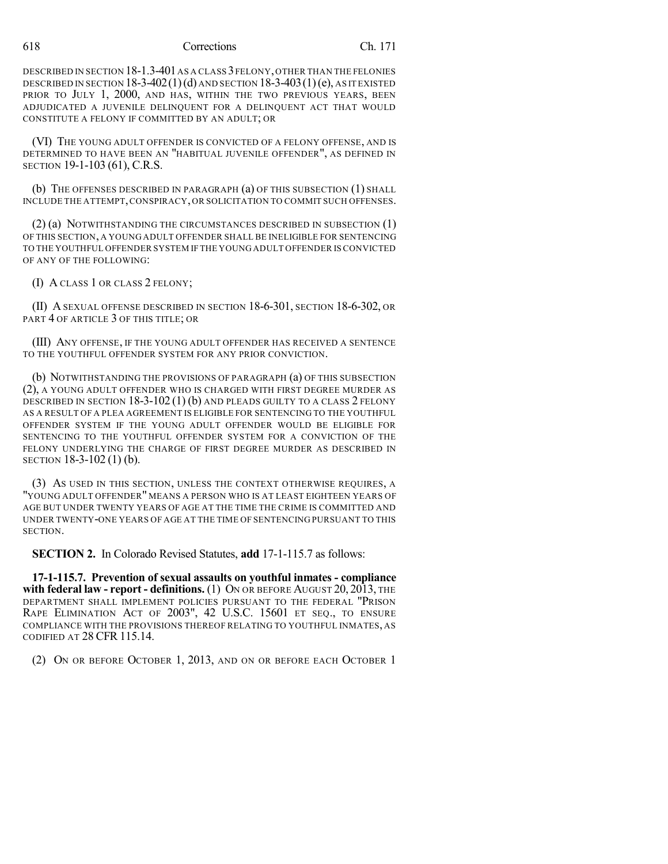618 Corrections Ch. 171

DESCRIBED IN SECTION 18-1.3-401 AS A CLASS 3 FELONY, OTHER THAN THE FELONIES DESCRIBED IN SECTION  $18-3-402(1)(d)$  and Section  $18-3-403(1)(e)$ , as it existed PRIOR TO JULY 1, 2000, AND HAS, WITHIN THE TWO PREVIOUS YEARS, BEEN ADJUDICATED A JUVENILE DELINQUENT FOR A DELINQUENT ACT THAT WOULD CONSTITUTE A FELONY IF COMMITTED BY AN ADULT; OR

(VI) THE YOUNG ADULT OFFENDER IS CONVICTED OF A FELONY OFFENSE, AND IS DETERMINED TO HAVE BEEN AN "HABITUAL JUVENILE OFFENDER", AS DEFINED IN SECTION 19-1-103 (61), C.R.S.

(b) THE OFFENSES DESCRIBED IN PARAGRAPH (a) OF THIS SUBSECTION (1) SHALL INCLUDE THE ATTEMPT,CONSPIRACY, OR SOLICITATION TO COMMIT SUCH OFFENSES.

(2) (a) NOTWITHSTANDING THE CIRCUMSTANCES DESCRIBED IN SUBSECTION (1) OF THIS SECTION, A YOUNG ADULT OFFENDER SHALL BE INELIGIBLE FOR SENTENCING TO THE YOUTHFUL OFFENDER SYSTEM IF THE YOUNG ADULT OFFENDER IS CONVICTED OF ANY OF THE FOLLOWING:

(I) A CLASS 1 OR CLASS 2 FELONY;

(II) A SEXUAL OFFENSE DESCRIBED IN SECTION 18-6-301, SECTION 18-6-302, OR PART 4 OF ARTICLE 3 OF THIS TITLE; OR

(III) ANY OFFENSE, IF THE YOUNG ADULT OFFENDER HAS RECEIVED A SENTENCE TO THE YOUTHFUL OFFENDER SYSTEM FOR ANY PRIOR CONVICTION.

(b) NOTWITHSTANDING THE PROVISIONS OF PARAGRAPH (a) OF THIS SUBSECTION (2), A YOUNG ADULT OFFENDER WHO IS CHARGED WITH FIRST DEGREE MURDER AS DESCRIBED IN SECTION 18-3-102 (1) (b) AND PLEADS GUILTY TO A CLASS 2 FELONY AS A RESULT OF A PLEA AGREEMENT IS ELIGIBLE FOR SENTENCING TO THE YOUTHFUL OFFENDER SYSTEM IF THE YOUNG ADULT OFFENDER WOULD BE ELIGIBLE FOR SENTENCING TO THE YOUTHFUL OFFENDER SYSTEM FOR A CONVICTION OF THE FELONY UNDERLYING THE CHARGE OF FIRST DEGREE MURDER AS DESCRIBED IN SECTION 18-3-102 (1) (b).

(3) AS USED IN THIS SECTION, UNLESS THE CONTEXT OTHERWISE REQUIRES, A "YOUNG ADULT OFFENDER" MEANS A PERSON WHO IS AT LEAST EIGHTEEN YEARS OF AGE BUT UNDER TWENTY YEARS OF AGE AT THE TIME THE CRIME IS COMMITTED AND UNDER TWENTY-ONE YEARS OF AGE AT THE TIME OF SENTENCING PURSUANT TO THIS SECTION.

**SECTION 2.** In Colorado Revised Statutes, **add** 17-1-115.7 as follows:

**17-1-115.7. Prevention of sexual assaults on youthful inmates - compliance with federal law - report - definitions.** (1) ON OR BEFORE AUGUST 20, 2013, THE DEPARTMENT SHALL IMPLEMENT POLICIES PURSUANT TO THE FEDERAL "PRISON RAPE ELIMINATION ACT OF 2003", 42 U.S.C. 15601 ET SEQ., TO ENSURE COMPLIANCE WITH THE PROVISIONS THEREOF RELATING TO YOUTHFUL INMATES, AS CODIFIED AT 28 CFR 115.14.

(2) ON OR BEFORE OCTOBER 1, 2013, AND ON OR BEFORE EACH OCTOBER 1